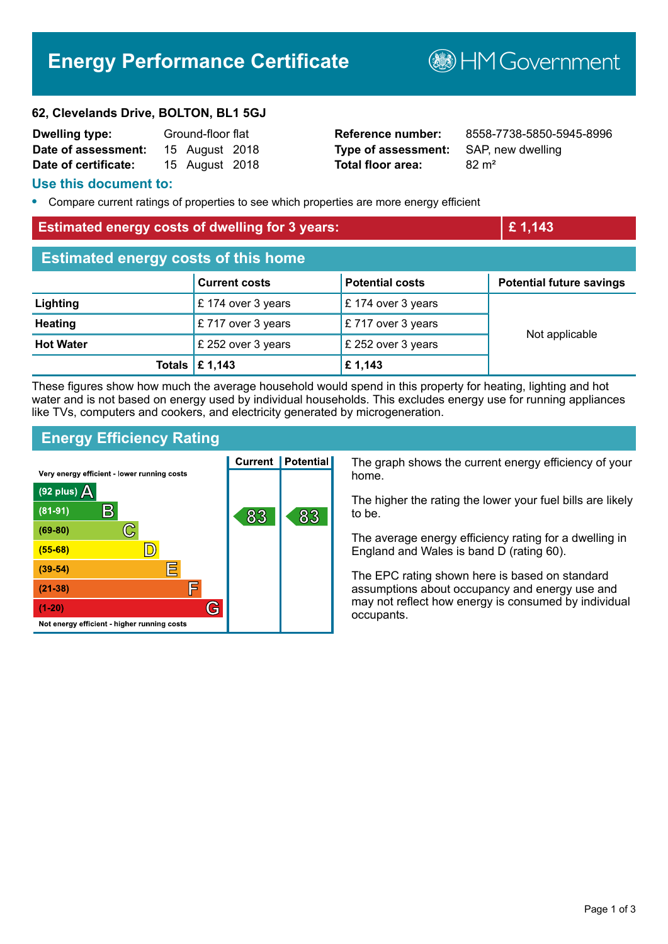# **Energy Performance Certificate**

**B**HMGovernment

#### **62, Clevelands Drive, BOLTON, BL1 5GJ**

| <b>Dwelling type:</b> | Ground-floor flat |                |  |
|-----------------------|-------------------|----------------|--|
| Date of assessment:   |                   | 15 August 2018 |  |
| Date of certificate:  |                   | 15 August 2018 |  |

**Type of assessment:** SAP, new dwelling **Total floor area:** 82 m<sup>2</sup>

**Reference number:** 8558-7738-5850-5945-8996

#### **Use this document to:**

**•** Compare current ratings of properties to see which properties are more energy efficient

#### **Estimated energy costs of dwelling for 3 years: £ 1,143**

| <b>Estimated energy costs of this home</b> |                                 |                        |                                 |  |  |
|--------------------------------------------|---------------------------------|------------------------|---------------------------------|--|--|
|                                            | <b>Current costs</b>            | <b>Potential costs</b> | <b>Potential future savings</b> |  |  |
| Lighting                                   | £ 174 over 3 years              | £174 over 3 years      | Not applicable                  |  |  |
| <b>Heating</b>                             | £717 over 3 years               | £717 over 3 years      |                                 |  |  |
| <b>Hot Water</b>                           | £ 252 over 3 years              | £ 252 over 3 years     |                                 |  |  |
|                                            | Totals $\mathbf \epsilon$ 1,143 | £1,143                 |                                 |  |  |

These figures show how much the average household would spend in this property for heating, lighting and hot water and is not based on energy used by individual households. This excludes energy use for running appliances like TVs, computers and cookers, and electricity generated by microgeneration.

## **Energy Efficiency Rating**

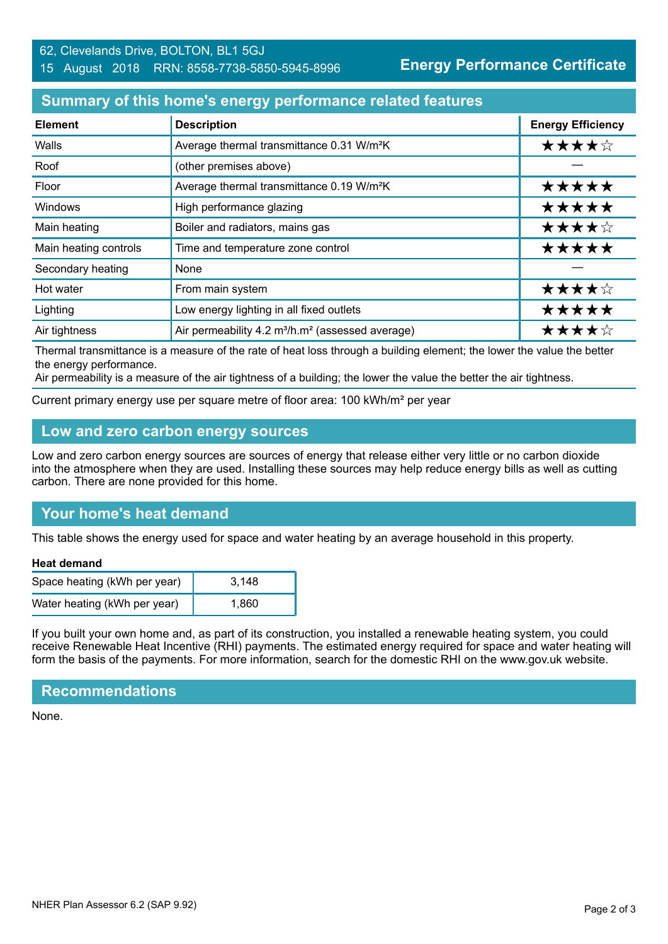#### 62, Clevelands Drive, BOLTON, BL1 5GJ 15 August 2018 RRN: 8558-7738-5850-5945-8996

**Energy Performance Certificate**

## **Summary of this home's energy performance related features**

| <b>Element</b>        | <b>Description</b>                                                       | <b>Energy Efficiency</b> |
|-----------------------|--------------------------------------------------------------------------|--------------------------|
| Walls                 | Average thermal transmittance 0.31 W/m <sup>2</sup> K                    | ★★★★☆                    |
| Roof                  | (other premises above)                                                   |                          |
| Floor                 | Average thermal transmittance 0.19 W/m <sup>2</sup> K                    | *****                    |
| Windows               | High performance glazing                                                 | *****                    |
| Main heating          | Boiler and radiators, mains gas                                          | ★★★★☆                    |
| Main heating controls | Time and temperature zone control                                        | *****                    |
| Secondary heating     | None                                                                     |                          |
| Hot water             | From main system                                                         | ★★★★☆                    |
| Lighting              | Low energy lighting in all fixed outlets                                 | *****                    |
| Air tightness         | Air permeability 4.2 m <sup>3</sup> /h.m <sup>2</sup> (assessed average) | ★★★★☆                    |

Thermal transmittance is a measure of the rate of heat loss through a building element; the lower the value the better the energy performance.

Air permeability is a measure of the air tightness of a building; the lower the value the better the air tightness.

Current primary energy use per square metre of floor area: 100 kWh/m² per year

## **Low and zero carbon energy sources**

Low and zero carbon energy sources are sources of energy that release either very little or no carbon dioxide into the atmosphere when they are used. Installing these sources may help reduce energy bills as well as cutting carbon. There are none provided for this home.

# **Your home's heat demand**

This table shows the energy used for space and water heating by an average household in this property.

#### **Heat demand**

| Space heating (kWh per year) | 3.148 |
|------------------------------|-------|
| Water heating (kWh per year) | 1.860 |

If you built your own home and, as part of its construction, you installed a renewable heating system, you could receive Renewable Heat Incentive (RHI) payments. The estimated energy required for space and water heating will form the basis of the payments. For more information, search for the domestic RHI on the www.gov.uk website.

#### **Recommendations**

None.